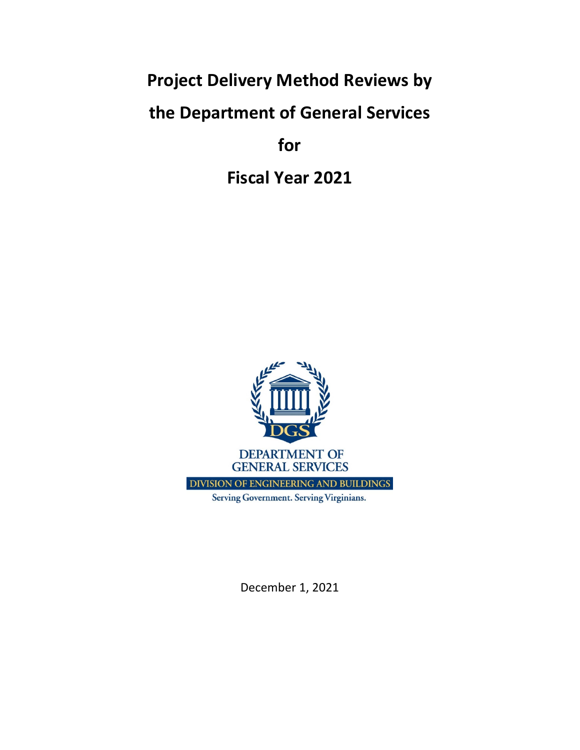**Project Delivery Method Reviews by** 

## **the Department of General Services**

**for**

**Fiscal Year 2021**



December 1, 2021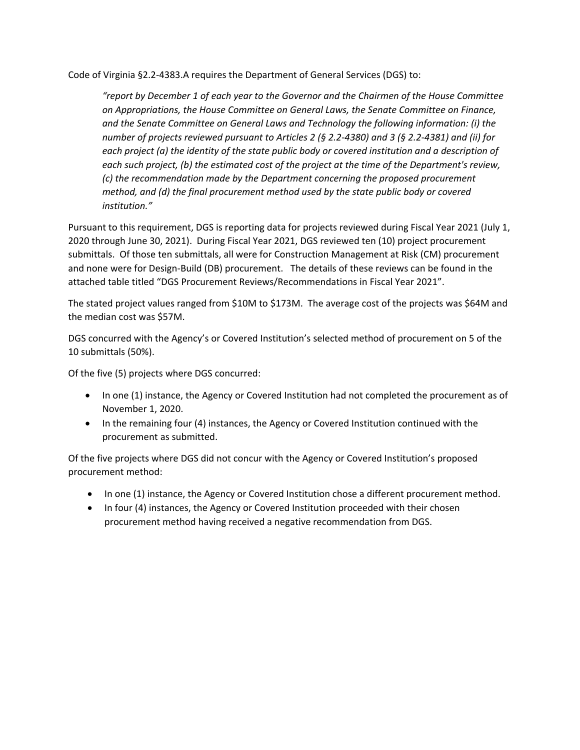Code of Virginia §2.2‐4383.A requires the Department of General Services (DGS) to:

*"report by December 1 of each year to the Governor and the Chairmen of the House Committee on Appropriations, the House Committee on General Laws, the Senate Committee on Finance, and the Senate Committee on General Laws and Technology the following information: (i) the* number of projects reviewed pursuant to Articles 2 (§ 2.2-4380) and 3 (§ 2.2-4381) and (ii) for *each project (a) the identity of the state public body or covered institution and a description of each such project, (b) the estimated cost of the project at the time of the Department's review, (c) the recommendation made by the Department concerning the proposed procurement method, and (d) the final procurement method used by the state public body or covered institution."*

Pursuant to this requirement, DGS is reporting data for projects reviewed during Fiscal Year 2021 (July 1, 2020 through June 30, 2021). During Fiscal Year 2021, DGS reviewed ten (10) project procurement submittals. Of those ten submittals, all were for Construction Management at Risk (CM) procurement and none were for Design-Build (DB) procurement. The details of these reviews can be found in the attached table titled "DGS Procurement Reviews/Recommendations in Fiscal Year 2021".

The stated project values ranged from \$10M to \$173M. The average cost of the projects was \$64M and the median cost was \$57M.

DGS concurred with the Agency's or Covered Institution's selected method of procurement on 5 of the 10 submittals (50%).

Of the five (5) projects where DGS concurred:

- In one (1) instance, the Agency or Covered Institution had not completed the procurement as of November 1, 2020.
- In the remaining four (4) instances, the Agency or Covered Institution continued with the procurement as submitted.

Of the five projects where DGS did not concur with the Agency or Covered Institution's proposed procurement method:

- In one (1) instance, the Agency or Covered Institution chose a different procurement method.
- In four (4) instances, the Agency or Covered Institution proceeded with their chosen procurement method having received a negative recommendation from DGS.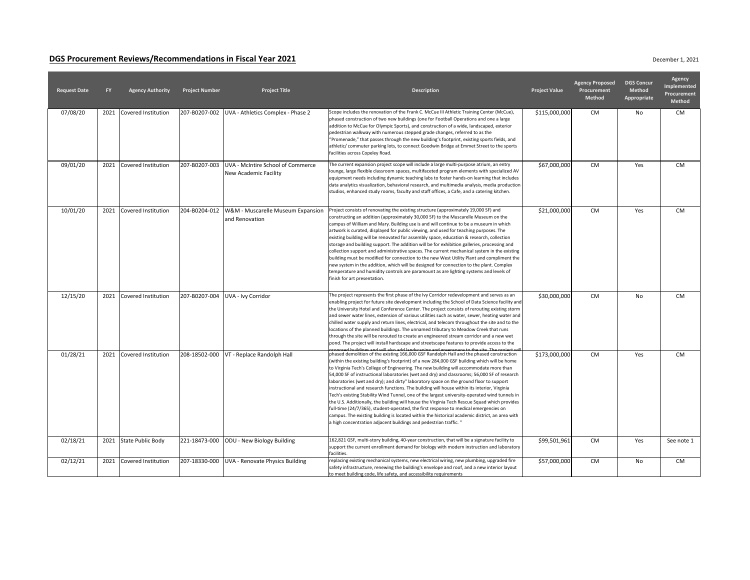## **DGS Procurement Reviews/Recommendations in Fiscal Year 2021**

| <b>Request Date</b> | <b>FY</b> | <b>Agency Authority</b>    | <b>Project Number</b> | <b>Project Title</b>                                       | <b>Description</b>                                                                                                                                                                                                                                                                                                                                                                                                                                                                                                                                                                                                                                                                                                                                                                                                                                                                                                                                                                                                                      | <b>Project Value</b> | <b>Agency Proposed</b><br>Procurement<br><b>Method</b> | <b>DGS Concur</b><br><b>Method</b><br>Appropriate | <b>Agency</b><br>Implemented<br>Procurement<br><b>Method</b> |
|---------------------|-----------|----------------------------|-----------------------|------------------------------------------------------------|-----------------------------------------------------------------------------------------------------------------------------------------------------------------------------------------------------------------------------------------------------------------------------------------------------------------------------------------------------------------------------------------------------------------------------------------------------------------------------------------------------------------------------------------------------------------------------------------------------------------------------------------------------------------------------------------------------------------------------------------------------------------------------------------------------------------------------------------------------------------------------------------------------------------------------------------------------------------------------------------------------------------------------------------|----------------------|--------------------------------------------------------|---------------------------------------------------|--------------------------------------------------------------|
| 07/08/20            | 2021      | Covered Institution        | 207-B0207-002         | UVA - Athletics Complex - Phase 2                          | Scope includes the renovation of the Frank C. McCue III Athletic Training Center (McCue),<br>phased construction of two new buildings (one for Football Operations and one a large<br>addition to McCue for Olympic Sports), and construction of a wide, landscaped, exterior<br>pedestrian walkway with numerous stepped grade changes, referred to as the<br>"Promenade," that passes through the new building's footprint, existing sports fields, and<br>athletic/commuter parking lots, to connect Goodwin Bridge at Emmet Street to the sports<br>facilities across Copeley Road.                                                                                                                                                                                                                                                                                                                                                                                                                                                 | \$115,000,000        | <b>CM</b>                                              | No                                                | <b>CM</b>                                                    |
| 09/01/20            | 2021      | <b>Covered Institution</b> | 207-B0207-003         | UVA - McIntire School of Commerce<br>New Academic Facility | The current expansion project scope will include a large multi-purpose atrium, an entry<br>lounge, large flexible classroom spaces, multifaceted program elements with specialized AV<br>equipment needs including dynamic teaching labs to foster hands-on learning that includes<br>data analytics visualization, behavioral research, and multimedia analysis, media production<br>studios, enhanced study rooms, faculty and staff offices, a Cafe, and a catering kitchen.                                                                                                                                                                                                                                                                                                                                                                                                                                                                                                                                                         | \$67,000,000         | <b>CM</b>                                              | Yes                                               | <b>CM</b>                                                    |
| 10/01/20            | 2021      | <b>Covered Institution</b> | 204-B0204-012         | W&M - Muscarelle Museum Expansion<br>and Renovation        | Project consists of renovating the existing structure (approximately 19,000 SF) and<br>constructing an addition (approximately 30,000 SF) to the Muscarelle Museum on the<br>campus of William and Mary. Building use is and will continue to be a museum in which<br>artwork is curated, displayed for public viewing, and used for teaching purposes. The<br>existing building will be renovated for assembly space, education & research, collection<br>storage and building support. The addition will be for exhibition galleries, processing and<br>collection support and administrative spaces. The current mechanical system in the existing<br>building must be modified for connection to the new West Utility Plant and compliment the<br>new system in the addition, which will be designed for connection to the plant. Complex<br>temperature and humidity controls are paramount as are lighting systems and levels of<br>finish for art presentation.                                                                  | \$21,000,000         | <b>CM</b>                                              | Yes                                               | <b>CM</b>                                                    |
| 12/15/20            | 2021      | Covered Institution        | 207-B0207-004         | UVA - Ivy Corridor                                         | The project represents the first phase of the Ivy Corridor redevelopment and serves as an<br>enabling project for future site development including the School of Data Science facility and<br>the University Hotel and Conference Center. The project consists of rerouting existing storm<br>and sewer water lines, extension of various utilities such as water, sewer, heating water and<br>chilled water supply and return lines, electrical, and telecom throughout the site and to the<br>locations of the planned buildings. The unnamed tributary to Meadow Creek that runs<br>through the site will be rerouted to create an engineered stream corridor and a new wet<br>pond. The project will install hardscape and streetscape features to provide access to the<br>انسر The project مئزي مطt من موجوع موجود موجود من المصري العامل العامل المسلمين المعاشر المعمومين                                                                                                                                                      | \$30,000,000         | <b>CM</b>                                              | No                                                | <b>CM</b>                                                    |
| 01/28/21            | 2021      | Covered Institution        | 208-18502-000         | VT - Replace Randolph Hall                                 | phased demolition of the existing 166,000 GSF Randolph Hall and the phased construction<br>(within the existing building's footprint) of a new 284,000 GSF building which will be home<br>to Virginia Tech's College of Engineering. The new building will accommodate more than<br>54,000 SF of instructional laboratories (wet and dry) and classrooms; 56,000 SF of research<br>laboratories (wet and dry); and dirty" laboratory space on the ground floor to support<br>instructional and research functions. The building will house within its interior, Virginia<br>Tech's existing Stability Wind Tunnel, one of the largest university-operated wind tunnels in<br>the U.S. Additionally, the building will house the Virginia Tech Rescue Squad which provides<br>full-time (24/7/365), student-operated, the first response to medical emergencies on<br>campus. The existing building is located within the historical academic district, an area with<br>a high concentration adjacent buildings and pedestrian traffic." | \$173,000,000        | <b>CM</b>                                              | Yes                                               | <b>CM</b>                                                    |
| 02/18/21            | 2021      | State Public Body          |                       | 221-18473-000 ODU - New Biology Building                   | 162,821 GSF, multi-story building, 40-year construction, that will be a signature facility to<br>support the current enrollment demand for biology with modern instruction and laboratory<br>facilities.                                                                                                                                                                                                                                                                                                                                                                                                                                                                                                                                                                                                                                                                                                                                                                                                                                | \$99,501,961         | <b>CM</b>                                              | Yes                                               | See note 1                                                   |
| 02/12/21            | 2021      | <b>Covered Institution</b> |                       | 207-18330-000 UVA - Renovate Physics Building              | replacing existing mechanical systems, new electrical wiring, new plumbing, upgraded fire<br>safety infrastructure, renewing the building's envelope and roof, and a new interior layout<br>to meet building code, life safety, and accessibility requirements                                                                                                                                                                                                                                                                                                                                                                                                                                                                                                                                                                                                                                                                                                                                                                          | \$57,000,000         | <b>CM</b>                                              | No                                                | <b>CM</b>                                                    |

December 1, 2021